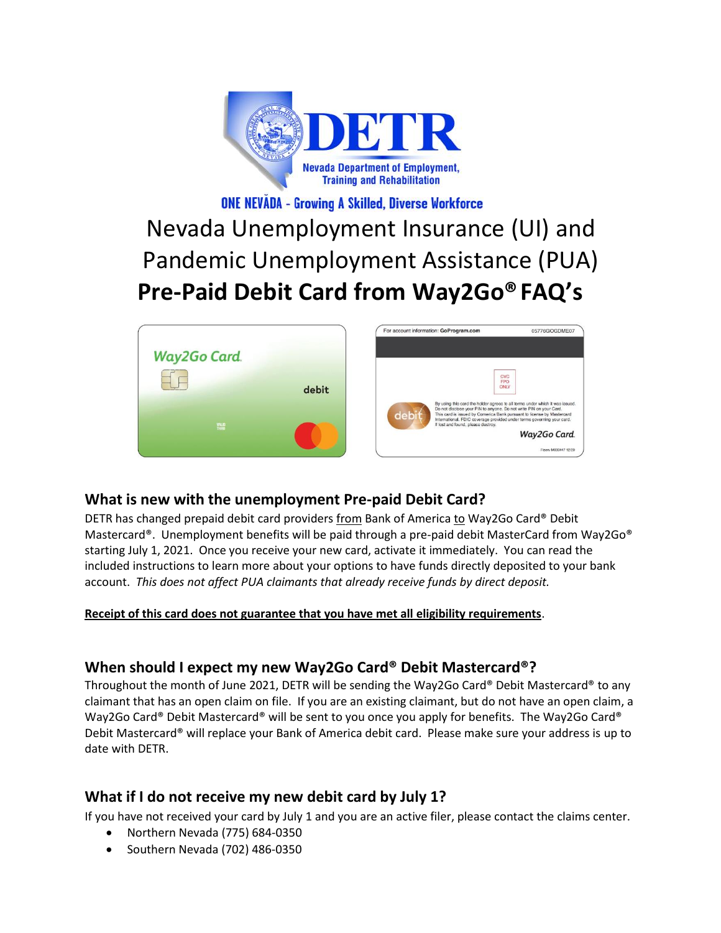

# **ONE NEVĂDA - Growing A Skilled, Diverse Workforce**

# Nevada Unemployment Insurance (UI) and Pandemic Unemployment Assistance (PUA) **Pre-Paid Debit Card from Way2Go®FAQ's**



# **What is new with the unemployment Pre-paid Debit Card?**

DETR has changed prepaid debit card providers from Bank of America to Way2Go Card® Debit Mastercard®. Unemployment benefits will be paid through a pre-paid debit MasterCard from Way2Go® starting July 1, 2021. Once you receive your new card, activate it immediately. You can read the included instructions to learn more about your options to have funds directly deposited to your bank account. *This does not affect PUA claimants that already receive funds by direct deposit.*

#### **Receipt of this card does not guarantee that you have met all eligibility requirements**.

# **When should I expect my new Way2Go Card® Debit Mastercard®?**

Throughout the month of June 2021, DETR will be sending the Way2Go Card® Debit Mastercard® to any claimant that has an open claim on file. If you are an existing claimant, but do not have an open claim, a Way2Go Card® Debit Mastercard® will be sent to you once you apply for benefits. The Way2Go Card® Debit Mastercard® will replace your Bank of America debit card. Please make sure your address is up to date with DETR.

#### **What if I do not receive my new debit card by July 1?**

If you have not received your card by July 1 and you are an active filer, please contact the claims center.

- Northern Nevada (775) 684-0350
- Southern Nevada (702) 486-0350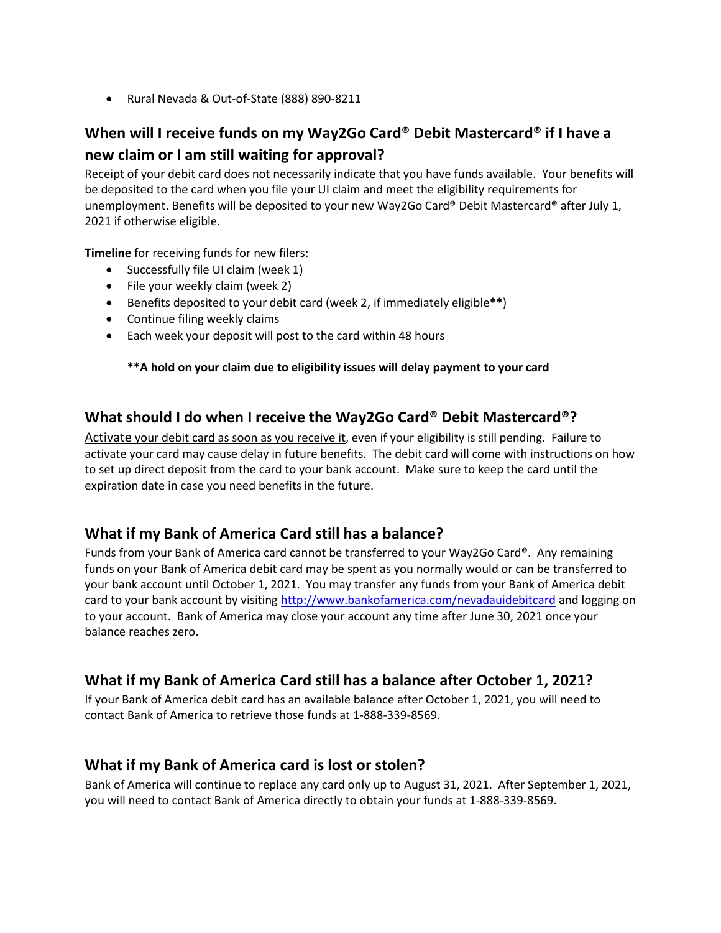• Rural Nevada & Out-of-State (888) 890-8211

# **When will I receive funds on my Way2Go Card® Debit Mastercard® if I have a new claim or I am still waiting for approval?**

Receipt of your debit card does not necessarily indicate that you have funds available. Your benefits will be deposited to the card when you file your UI claim and meet the eligibility requirements for unemployment. Benefits will be deposited to your new Way2Go Card® Debit Mastercard® after July 1, 2021 if otherwise eligible.

**Timeline** for receiving funds for new filers:

- Successfully file UI claim (week 1)
- File your weekly claim (week 2)
- Benefits deposited to your debit card (week 2, if immediately eligible**\*\***)
- Continue filing weekly claims
- Each week your deposit will post to the card within 48 hours

#### **\*\*A hold on your claim due to eligibility issues will delay payment to your card**

### **What should I do when I receive the Way2Go Card® Debit Mastercard®?**

Activate your debit card as soon as you receive it, even if your eligibility is still pending. Failure to activate your card may cause delay in future benefits. The debit card will come with instructions on how to set up direct deposit from the card to your bank account. Make sure to keep the card until the expiration date in case you need benefits in the future.

# **What if my Bank of America Card still has a balance?**

Funds from your Bank of America card cannot be transferred to your Way2Go Card®. Any remaining funds on your Bank of America debit card may be spent as you normally would or can be transferred to your bank account until October 1, 2021. You may transfer any funds from your Bank of America debit card to your bank account by visitin[g http://www.bankofamerica.com/nevadauidebitcard](http://www.bankofamerica.com/nevadauidebitcard) and logging on to your account. Bank of America may close your account any time after June 30, 2021 once your balance reaches zero.

#### **What if my Bank of America Card still has a balance after October 1, 2021?**

If your Bank of America debit card has an available balance after October 1, 2021, you will need to contact Bank of America to retrieve those funds at 1-888-339-8569.

#### **What if my Bank of America card is lost or stolen?**

Bank of America will continue to replace any card only up to August 31, 2021. After September 1, 2021, you will need to contact Bank of America directly to obtain your funds at 1-888-339-8569.